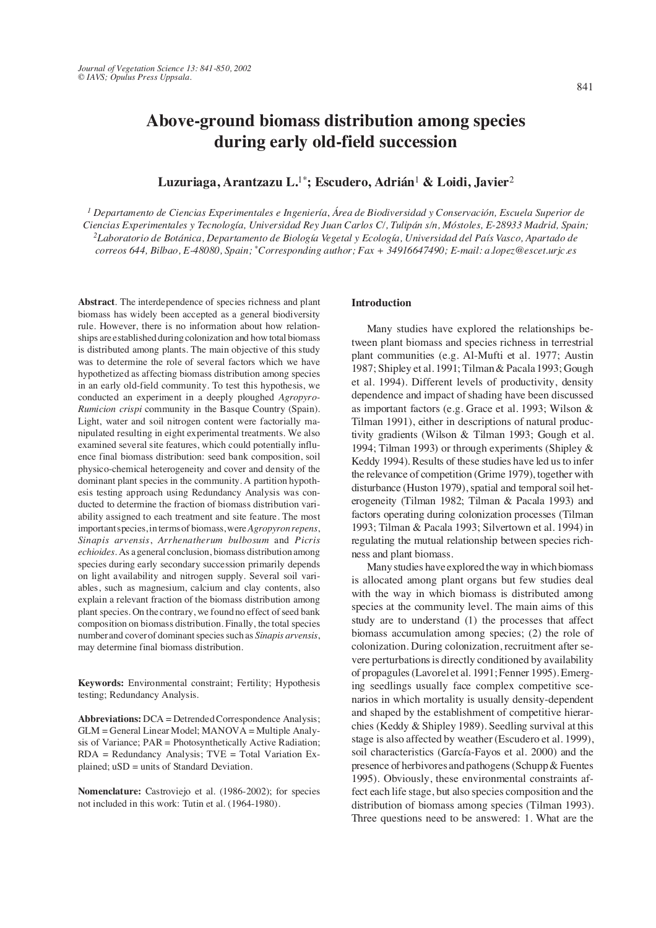# **Above-ground biomass distribution among species during early old-field succession**

# **Luzuriaga, Arantzazu L.**1\***; Escudero, Adrián**<sup>1</sup> **& Loidi, Javier**<sup>2</sup>

*1 Departamento de Ciencias Experimentales e Ingeniería*, *Área de Biodiversidad y Conservación, Escuela Superior de Ciencias Experimentales y Tecnología, Universidad Rey Juan Carlos C/, Tulipán s/n, Móstoles, E-28933 Madrid, Spain; 2Laboratorio de Botánica, Departamento de Biología Vegetal y Ecología, Universidad del País Vasco, Apartado de correos 644, Bilbao, E-48080, Spain; \*Corresponding author; Fax + 34916647490; E-mail: a.lopez@escet.urjc.es*

**Abstract**. The interdependence of species richness and plant biomass has widely been accepted as a general biodiversity rule. However, there is no information about how relationships are established during colonization and how total biomass is distributed among plants. The main objective of this study was to determine the role of several factors which we have hypothetized as affecting biomass distribution among species in an early old-field community. To test this hypothesis, we conducted an experiment in a deeply ploughed *Agropyro-Rumicion crispi* community in the Basque Country (Spain). Light, water and soil nitrogen content were factorially manipulated resulting in eight experimental treatments. We also examined several site features, which could potentially influence final biomass distribution: seed bank composition, soil physico-chemical heterogeneity and cover and density of the dominant plant species in the community. A partition hypothesis testing approach using Redundancy Analysis was conducted to determine the fraction of biomass distribution variability assigned to each treatment and site feature. The most important species, in terms of biomass, were *Agropyron repens*, *Sinapis arvensis*, *Arrhenatherum bulbosum* and *Picris echioides*. As a general conclusion, biomass distribution among species during early secondary succession primarily depends on light availability and nitrogen supply. Several soil variables, such as magnesium, calcium and clay contents, also explain a relevant fraction of the biomass distribution among plant species. On the contrary, we found no effect of seed bank composition on biomass distribution. Finally, the total species number and cover of dominant species such as *Sinapis arvensis*, may determine final biomass distribution.

**Keywords:** Environmental constraint; Fertility; Hypothesis testing; Redundancy Analysis.

**Abbreviations:** DCA = Detrended Correspondence Analysis; GLM = General Linear Model; MANOVA = Multiple Analysis of Variance; PAR = Photosynthetically Active Radiation; RDA = Redundancy Analysis; TVE = Total Variation Explained; uSD = units of Standard Deviation.

**Nomenclature:** Castroviejo et al. (1986-2002); for species not included in this work: Tutin et al. (1964-1980).

# **Introduction**

Many studies have explored the relationships between plant biomass and species richness in terrestrial plant communities (e.g. Al-Mufti et al. 1977; Austin 1987; Shipley et al. 1991; Tilman & Pacala 1993; Gough et al. 1994). Different levels of productivity, density dependence and impact of shading have been discussed as important factors (e.g. Grace et al. 1993; Wilson & Tilman 1991), either in descriptions of natural productivity gradients (Wilson & Tilman 1993; Gough et al. 1994; Tilman 1993) or through experiments (Shipley & Keddy 1994). Results of these studies have led us to infer the relevance of competition (Grime 1979), together with disturbance (Huston 1979), spatial and temporal soil heterogeneity (Tilman 1982; Tilman & Pacala 1993) and factors operating during colonization processes (Tilman 1993; Tilman & Pacala 1993; Silvertown et al. 1994) in regulating the mutual relationship between species richness and plant biomass.

Many studies have explored the way in which biomass is allocated among plant organs but few studies deal with the way in which biomass is distributed among species at the community level. The main aims of this study are to understand (1) the processes that affect biomass accumulation among species; (2) the role of colonization. During colonization, recruitment after severe perturbations is directly conditioned by availability of propagules (Lavorel et al. 1991; Fenner 1995). Emerging seedlings usually face complex competitive scenarios in which mortality is usually density-dependent and shaped by the establishment of competitive hierarchies (Keddy & Shipley 1989). Seedling survival at this stage is also affected by weather (Escudero et al. 1999), soil characteristics (García-Fayos et al. 2000) and the presence of herbivores and pathogens (Schupp & Fuentes 1995). Obviously, these environmental constraints affect each life stage, but also species composition and the distribution of biomass among species (Tilman 1993). Three questions need to be answered: 1. What are the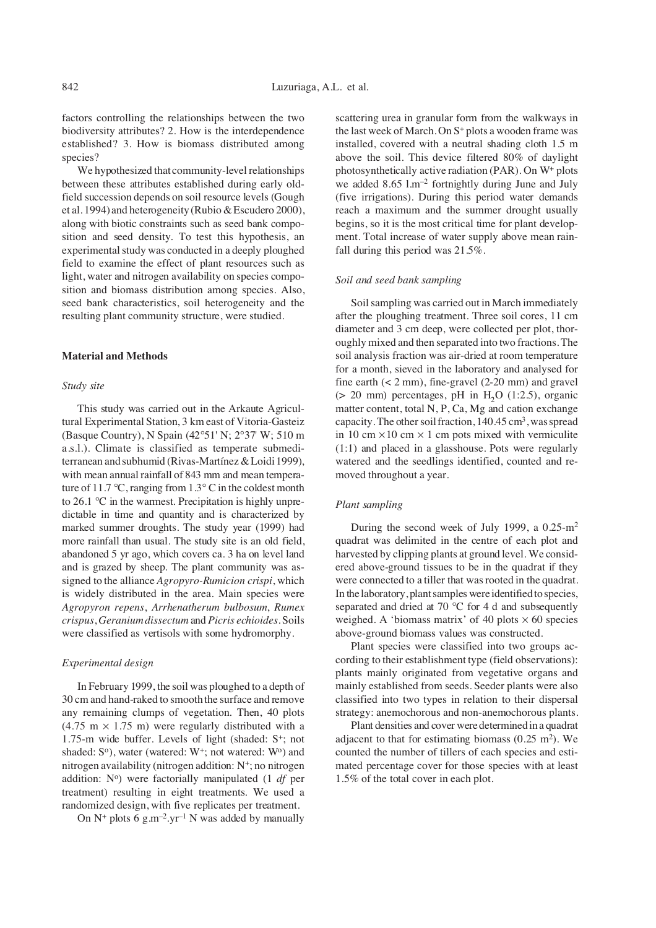factors controlling the relationships between the two biodiversity attributes? 2. How is the interdependence established? 3. How is biomass distributed among species?

We hypothesized that community-level relationships between these attributes established during early oldfield succession depends on soil resource levels (Gough et al. 1994) and heterogeneity (Rubio & Escudero 2000), along with biotic constraints such as seed bank composition and seed density. To test this hypothesis, an experimental study was conducted in a deeply ploughed field to examine the effect of plant resources such as light, water and nitrogen availability on species composition and biomass distribution among species. Also, seed bank characteristics, soil heterogeneity and the resulting plant community structure, were studied.

### **Material and Methods**

#### *Study site*

This study was carried out in the Arkaute Agricultural Experimental Station, 3 km east of Vitoria-Gasteiz (Basque Country), N Spain (42∞51' N; 2∞37' W; 510 m a.s.l.). Climate is classified as temperate submediterranean and subhumid (Rivas-Martínez & Loidi 1999), with mean annual rainfall of 843 mm and mean temperature of 11.7 °C, ranging from  $1.3^{\circ}$ C in the coldest month to 26.1 ∞C in the warmest. Precipitation is highly unpredictable in time and quantity and is characterized by marked summer droughts. The study year (1999) had more rainfall than usual. The study site is an old field, abandoned 5 yr ago, which covers ca. 3 ha on level land and is grazed by sheep. The plant community was assigned to the alliance *Agropyro-Rumicion crispi*, which is widely distributed in the area. Main species were *Agropyron repens*, *Arrhenatherum bulbosum*, *Rumex crispus*, *Geranium dissectum* and *Picris echioides*. Soils were classified as vertisols with some hydromorphy.

### *Experimental design*

In February 1999, the soil was ploughed to a depth of 30 cm and hand-raked to smooth the surface and remove any remaining clumps of vegetation. Then, 40 plots  $(4.75 \text{ m} \times 1.75 \text{ m})$  were regularly distributed with a 1.75-m wide buffer. Levels of light (shaded: S<sup>+</sup>; not shaded:  $S^{\circ}$ ), water (watered:  $W^+$ ; not watered:  $W^{\circ}$ ) and nitrogen availability (nitrogen addition: N+; no nitrogen addition: N<sup>o</sup>) were factorially manipulated (1 *df* per treatment) resulting in eight treatments. We used a randomized design, with five replicates per treatment.

On  $N^+$  plots 6 g.m<sup>-2</sup>.yr<sup>-1</sup> N was added by manually

scattering urea in granular form from the walkways in the last week of March. On S<sup>+</sup> plots a wooden frame was installed, covered with a neutral shading cloth 1.5 m above the soil. This device filtered 80% of daylight photosynthetically active radiation (PAR). On W+ plots we added 8.65 l.m–2 fortnightly during June and July (five irrigations). During this period water demands reach a maximum and the summer drought usually begins, so it is the most critical time for plant development. Total increase of water supply above mean rainfall during this period was 21.5%.

### *Soil and seed bank sampling*

Soil sampling was carried out in March immediately after the ploughing treatment. Three soil cores, 11 cm diameter and 3 cm deep, were collected per plot, thoroughly mixed and then separated into two fractions. The soil analysis fraction was air-dried at room temperature for a month, sieved in the laboratory and analysed for fine earth  $(< 2$  mm), fine-gravel  $(2\n-20$  mm) and gravel ( $> 20$  mm) percentages, pH in H<sub>2</sub>O (1:2.5), organic matter content, total N, P, Ca, Mg and cation exchange capacity. The other soil fraction,  $140.45 \text{ cm}^3$ , was spread in 10 cm  $\times$  10 cm  $\times$  1 cm pots mixed with vermiculite (1:1) and placed in a glasshouse. Pots were regularly watered and the seedlings identified, counted and removed throughout a year.

# *Plant sampling*

During the second week of July 1999, a 0.25-m2 quadrat was delimited in the centre of each plot and harvested by clipping plants at ground level. We considered above-ground tissues to be in the quadrat if they were connected to a tiller that was rooted in the quadrat. In the laboratory, plant samples were identified to species, separated and dried at 70 ℃ for 4 d and subsequently weighed. A 'biomass matrix' of 40 plots  $\times$  60 species above-ground biomass values was constructed.

Plant species were classified into two groups according to their establishment type (field observations): plants mainly originated from vegetative organs and mainly established from seeds. Seeder plants were also classified into two types in relation to their dispersal strategy: anemochorous and non-anemochorous plants.

Plant densities and cover were determined in a quadrat adjacent to that for estimating biomass  $(0.25 \text{ m}^2)$ . We counted the number of tillers of each species and estimated percentage cover for those species with at least 1.5% of the total cover in each plot.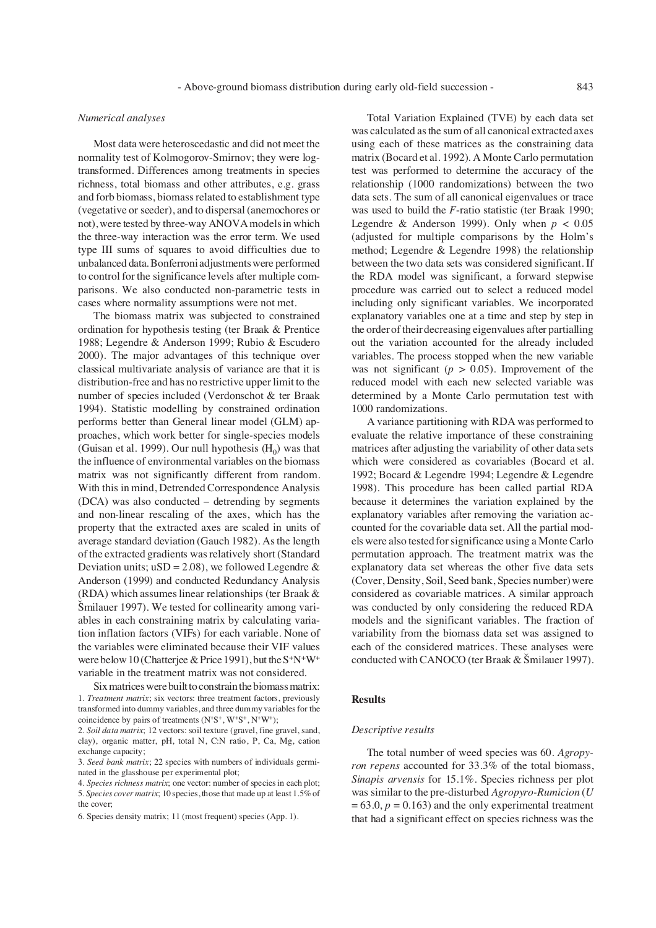# *Numerical analyses*

Most data were heteroscedastic and did not meet the normality test of Kolmogorov-Smirnov; they were logtransformed. Differences among treatments in species richness, total biomass and other attributes, e.g. grass and forb biomass, biomass related to establishment type (vegetative or seeder), and to dispersal (anemochores or not), were tested by three-way ANOVA models in which the three-way interaction was the error term. We used type III sums of squares to avoid difficulties due to unbalanced data. Bonferroni adjustments were performed to control for the significance levels after multiple comparisons. We also conducted non-parametric tests in cases where normality assumptions were not met.

The biomass matrix was subjected to constrained ordination for hypothesis testing (ter Braak & Prentice 1988; Legendre & Anderson 1999; Rubio & Escudero 2000). The major advantages of this technique over classical multivariate analysis of variance are that it is distribution-free and has no restrictive upper limit to the number of species included (Verdonschot & ter Braak 1994). Statistic modelling by constrained ordination performs better than General linear model (GLM) approaches, which work better for single-species models (Guisan et al. 1999). Our null hypothesis  $(H_0)$  was that the influence of environmental variables on the biomass matrix was not significantly different from random. With this in mind, Detrended Correspondence Analysis (DCA) was also conducted – detrending by segments and non-linear rescaling of the axes, which has the property that the extracted axes are scaled in units of average standard deviation (Gauch 1982). As the length of the extracted gradients was relatively short (Standard Deviation units;  $uSD = 2.08$ ), we followed Legendre & Anderson (1999) and conducted Redundancy Analysis (RDA) which assumes linear relationships (ter Braak & Smilauer 1997). We tested for collinearity among vari-‹ ables in each constraining matrix by calculating variation inflation factors (VIFs) for each variable. None of the variables were eliminated because their VIF values were below 10 (Chatterjee & Price 1991), but the S<sup>+</sup>N<sup>+</sup>W<sup>+</sup> variable in the treatment matrix was not considered.

Six matrices were built to constrain the biomass matrix: 1. *Treatment matrix*; six vectors: three treatment factors, previously transformed into dummy variables, and three dummy variables for the coincidence by pairs of treatments (N+S+, W+S+, N+W+);

Total Variation Explained (TVE) by each data set was calculated as the sum of all canonical extracted axes using each of these matrices as the constraining data matrix (Bocard et al. 1992). A Monte Carlo permutation test was performed to determine the accuracy of the relationship (1000 randomizations) between the two data sets. The sum of all canonical eigenvalues or trace was used to build the *F*-ratio statistic (ter Braak 1990; Legendre & Anderson 1999). Only when  $p < 0.05$ (adjusted for multiple comparisons by the Holm's method; Legendre & Legendre 1998) the relationship between the two data sets was considered significant. If the RDA model was significant, a forward stepwise procedure was carried out to select a reduced model including only significant variables. We incorporated explanatory variables one at a time and step by step in the order of their decreasing eigenvalues after partialling out the variation accounted for the already included variables. The process stopped when the new variable was not significant ( $p > 0.05$ ). Improvement of the reduced model with each new selected variable was determined by a Monte Carlo permutation test with 1000 randomizations.

A variance partitioning with RDA was performed to evaluate the relative importance of these constraining matrices after adjusting the variability of other data sets which were considered as covariables (Bocard et al. 1992; Bocard & Legendre 1994; Legendre & Legendre 1998). This procedure has been called partial RDA because it determines the variation explained by the explanatory variables after removing the variation accounted for the covariable data set. All the partial models were also tested for significance using a Monte Carlo permutation approach. The treatment matrix was the explanatory data set whereas the other five data sets (Cover, Density, Soil, Seed bank, Species number) were considered as covariable matrices. A similar approach was conducted by only considering the reduced RDA models and the significant variables. The fraction of variability from the biomass data set was assigned to each of the considered matrices. These analyses were conducted with CANOCO (ter Braak & Šmilauer 1997).

# **Results**

### *Descriptive results*

The total number of weed species was 60. *Agropyron repens* accounted for 33.3% of the total biomass, *Sinapis arvensis* for 15.1%. Species richness per plot was similar to the pre-disturbed *Agropyro-Rumicion* (*U*  $= 63.0, p = 0.163$  and the only experimental treatment that had a significant effect on species richness was the

<sup>2.</sup> *Soil data matrix*; 12 vectors: soil texture (gravel, fine gravel, sand, clay), organic matter, pH, total N, C:N ratio, P, Ca, Mg, cation exchange capacity;

<sup>3.</sup> *Seed bank matrix*; 22 species with numbers of individuals germinated in the glasshouse per experimental plot;

<sup>4.</sup> *Species richness matrix*; one vector: number of species in each plot; 5. *Species cover matrix*; 10 species, those that made up at least 1.5% of the cover;

<sup>6.</sup> Species density matrix; 11 (most frequent) species (App. 1).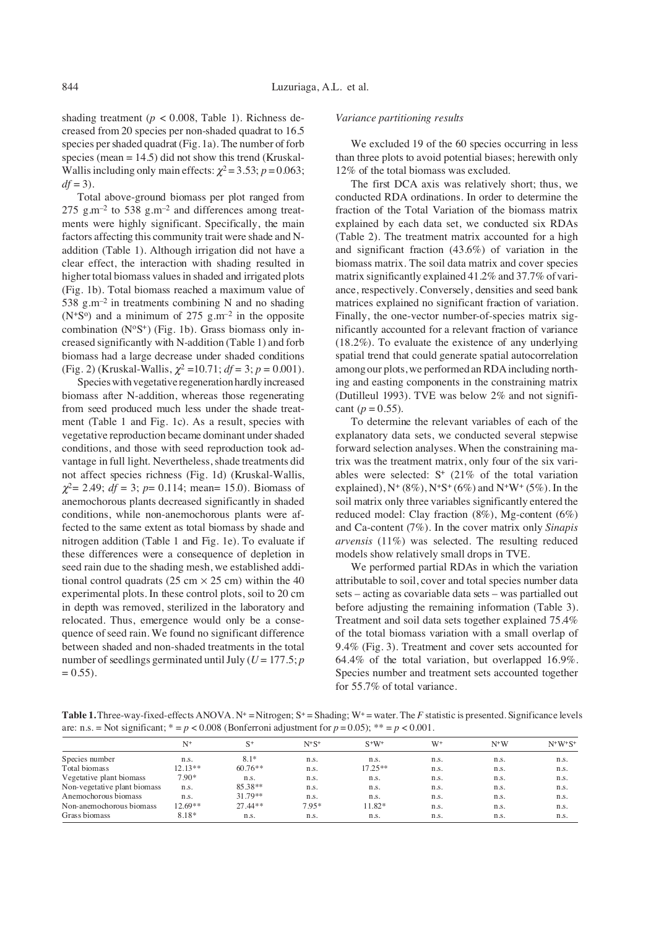shading treatment ( $p < 0.008$ , Table 1). Richness decreased from 20 species per non-shaded quadrat to 16.5 species per shaded quadrat (Fig. 1a). The number of forb species (mean  $= 14.5$ ) did not show this trend (Kruskal-Wallis including only main effects:  $\chi^2$  = 3.53; *p* = 0.063;  $df = 3$ ).

Total above-ground biomass per plot ranged from 275  $\text{g.m}^{-2}$  to 538  $\text{g.m}^{-2}$  and differences among treatments were highly significant. Specifically, the main factors affecting this community trait were shade and Naddition (Table 1). Although irrigation did not have a clear effect, the interaction with shading resulted in higher total biomass values in shaded and irrigated plots (Fig. 1b). Total biomass reached a maximum value of 538  $g.m^{-2}$  in treatments combining N and no shading  $(N^{+}S^{o})$  and a minimum of 275 g.m<sup>-2</sup> in the opposite combination  $(N^oS^+)$  (Fig. 1b). Grass biomass only increased significantly with N-addition (Table 1) and forb biomass had a large decrease under shaded conditions (Fig. 2) (Kruskal-Wallis,  $\chi^2$  =10.71;  $df = 3$ ;  $p = 0.001$ ).

Species with vegetative regeneration hardly increased biomass after N-addition, whereas those regenerating from seed produced much less under the shade treatment (Table 1 and Fig. 1c). As a result, species with vegetative reproduction became dominant under shaded conditions, and those with seed reproduction took advantage in full light. Nevertheless, shade treatments did not affect species richness (Fig. 1d) (Kruskal-Wallis,  $\chi^2$  = 2.49; *df* = 3; *p* = 0.114; mean = 15.0). Biomass of anemochorous plants decreased significantly in shaded conditions, while non-anemochorous plants were affected to the same extent as total biomass by shade and nitrogen addition (Table 1 and Fig. 1e). To evaluate if these differences were a consequence of depletion in seed rain due to the shading mesh, we established additional control quadrats (25 cm  $\times$  25 cm) within the 40 experimental plots. In these control plots, soil to 20 cm in depth was removed, sterilized in the laboratory and relocated. Thus, emergence would only be a consequence of seed rain. We found no significant difference between shaded and non-shaded treatments in the total number of seedlings germinated until July ( $U = 177.5$ ; *p*  $= 0.55$ ).

# *Variance partitioning results*

We excluded 19 of the 60 species occurring in less than three plots to avoid potential biases; herewith only 12% of the total biomass was excluded.

The first DCA axis was relatively short; thus, we conducted RDA ordinations. In order to determine the fraction of the Total Variation of the biomass matrix explained by each data set, we conducted six RDAs (Table 2). The treatment matrix accounted for a high and significant fraction (43.6%) of variation in the biomass matrix. The soil data matrix and cover species matrix significantly explained 41.2% and 37.7% of variance, respectively. Conversely, densities and seed bank matrices explained no significant fraction of variation. Finally, the one-vector number-of-species matrix significantly accounted for a relevant fraction of variance (18.2%). To evaluate the existence of any underlying spatial trend that could generate spatial autocorrelation among our plots, we performed an RDA including northing and easting components in the constraining matrix (Dutilleul 1993). TVE was below 2% and not significant  $(p = 0.55)$ .

To determine the relevant variables of each of the explanatory data sets, we conducted several stepwise forward selection analyses. When the constraining matrix was the treatment matrix, only four of the six variables were selected:  $S<sup>+</sup>$  (21% of the total variation explained),  $N^{+}$  (8%),  $N^{+}S^{+}$  (6%) and  $N^{+}W^{+}$  (5%). In the soil matrix only three variables significantly entered the reduced model: Clay fraction (8%), Mg-content (6%) and Ca-content (7%). In the cover matrix only *Sinapis arvensis* (11%) was selected. The resulting reduced models show relatively small drops in TVE.

We performed partial RDAs in which the variation attributable to soil, cover and total species number data sets – acting as covariable data sets – was partialled out before adjusting the remaining information (Table 3). Treatment and soil data sets together explained 75.4% of the total biomass variation with a small overlap of 9.4% (Fig. 3). Treatment and cover sets accounted for 64.4% of the total variation, but overlapped 16.9%. Species number and treatment sets accounted together for 55.7% of total variance.

Table 1. Three-way-fixed-effects ANOVA. N<sup>+</sup> = Nitrogen; S<sup>+</sup> = Shading; W<sup>+</sup> = water. The *F* statistic is presented. Significance levels are: n.s. = Not significant;  $* = p < 0.008$  (Bonferroni adjustment for  $p = 0.05$ );  $* = p < 0.001$ .

|                              | $N^+$     | $S^+$     | $N+S^+$ | $S^+W^+$  | $W^+$ | $N^+W$ | $N+W+S+$ |
|------------------------------|-----------|-----------|---------|-----------|-------|--------|----------|
| Species number               | n.s.      | $8.1*$    | n.s.    | n.s.      | n.s.  | n.s.   | n.s.     |
| Total biomass                | $12.13**$ | $60.76**$ | n.s.    | $17.25**$ | n.s.  | n.s.   | n.s.     |
| Vegetative plant biomass     | 7.90*     | n.s.      | n.s.    | n.s.      | n.s.  | n.s.   | n.s.     |
| Non-vegetative plant biomass | n.s.      | 85.38**   | n.s.    | n.s.      | n.s.  | n.s.   | n.s.     |
| Anemochorous biomass         | n.s.      | $31.79**$ | n.s.    | n.s.      | n.s.  | n.s.   | n.s.     |
| Non-anemochorous biomass     | 12.69**   | $27.44**$ | $7.95*$ | 11.82*    | n.s.  | n.s.   | n.s.     |
| Grass biomass                | 8.18*     | n.s.      | n.s.    | n.s.      | n.s.  | n.s.   | n.s.     |
|                              |           |           |         |           |       |        |          |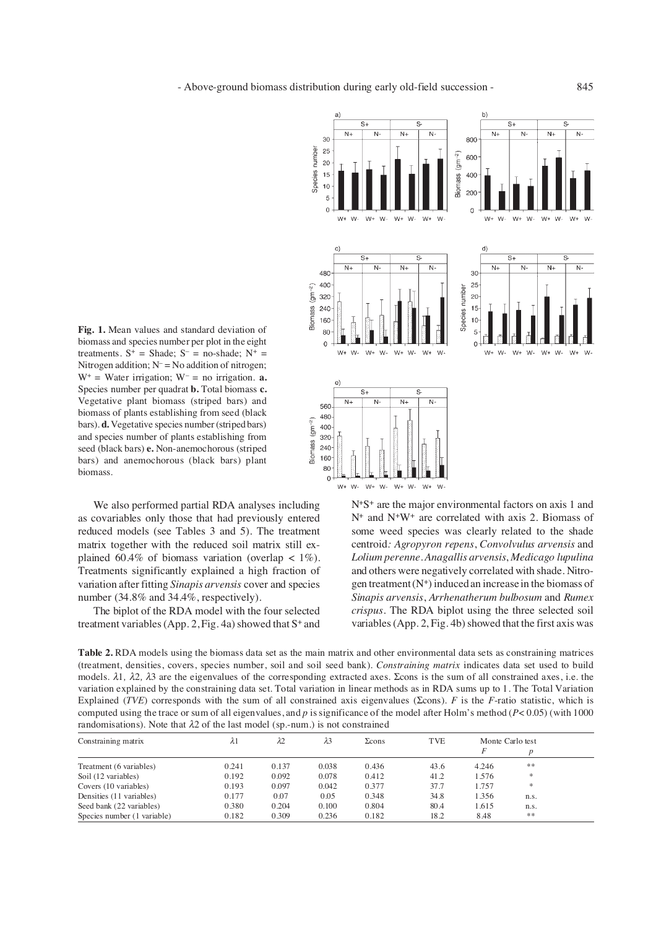**Fig. 1.** Mean values and standard deviation of biomass and species number per plot in the eight treatments.  $S^+$  = Shade;  $S^-$  = no-shade;  $N^+$  = Nitrogen addition;  $N = No$  addition of nitrogen;  $W^+$  = Water irrigation;  $W^-$  = no irrigation. **a.** Species number per quadrat **b.** Total biomass **c.** Vegetative plant biomass (striped bars) and biomass of plants establishing from seed (black bars). **d.** Vegetative species number (striped bars) and species number of plants establishing from seed (black bars) **e.** Non-anemochorous (striped bars) and anemochorous (black bars) plant biomass.

We also performed partial RDA analyses including as covariables only those that had previously entered reduced models (see Tables 3 and 5). The treatment matrix together with the reduced soil matrix still explained 60.4% of biomass variation (overlap  $\lt$  1%). Treatments significantly explained a high fraction of variation after fitting *Sinapis arvensis* cover and species number (34.8% and 34.4%, respectively).

The biplot of the RDA model with the four selected treatment variables (App. 2, Fig. 4a) showed that  $S^+$  and



N+S+ are the major environmental factors on axis 1 and N+ and N+W+ are correlated with axis 2. Biomass of some weed species was clearly related to the shade centroid*: Agropyron repens*, *Convolvulus arvensis* and *Lolium perenne*. *Anagallis arvensis*, *Medicago lupulina* and others were negatively correlated with shade. Nitrogen treatment  $(N^+)$  induced an increase in the biomass of *Sinapis arvensis*, *Arrhenatherum bulbosum* and *Rumex crispus*. The RDA biplot using the three selected soil variables (App. 2, Fig. 4b) showed that the first axis was

**Table 2.** RDA models using the biomass data set as the main matrix and other environmental data sets as constraining matrices (treatment, densities, covers, species number, soil and soil seed bank). *Constraining matrix* indicates data set used to build models.  $λ1$ ,  $λ2$ ,  $λ3$  are the eigenvalues of the corresponding extracted axes. Scons is the sum of all constrained axes, i.e. the variation explained by the constraining data set. Total variation in linear methods as in RDA sums up to 1. The Total Variation Explained (*TVE*) corresponds with the sum of all constrained axis eigenvalues ( $\Sigma$ cons). *F* is the *F*-ratio statistic, which is computed using the trace or sum of all eigenvalues, and *p* is significance of the model after Holm's method (*P*< 0.05) (with 1000 randomisations). Note that  $\lambda$ 2 of the last model (sp.-num.) is not constrained

| Constraining matrix         | $\lambda$ l | $\lambda$ 2 | $\lambda$ 3 | $\Sigma$ cons | <b>TVE</b> | Monte Carlo test |      |  |
|-----------------------------|-------------|-------------|-------------|---------------|------------|------------------|------|--|
|                             |             |             |             |               |            |                  |      |  |
| Treatment (6 variables)     | 0.241       | 0.137       | 0.038       | 0.436         | 43.6       | 4.246            | **   |  |
| Soil (12 variables)         | 0.192       | 0.092       | 0.078       | 0.412         | 41.2       | 1.576            | *    |  |
| Covers (10 variables)       | 0.193       | 0.097       | 0.042       | 0.377         | 37.7       | 1.757            | *    |  |
| Densities (11 variables)    | 0.177       | 0.07        | 0.05        | 0.348         | 34.8       | 1.356            | n.s. |  |
| Seed bank (22 variables)    | 0.380       | 0.204       | 0.100       | 0.804         | 80.4       | 1.615            | n.s. |  |
| Species number (1 variable) | 0.182       | 0.309       | 0.236       | 0.182         | 18.2       | 8.48             | **   |  |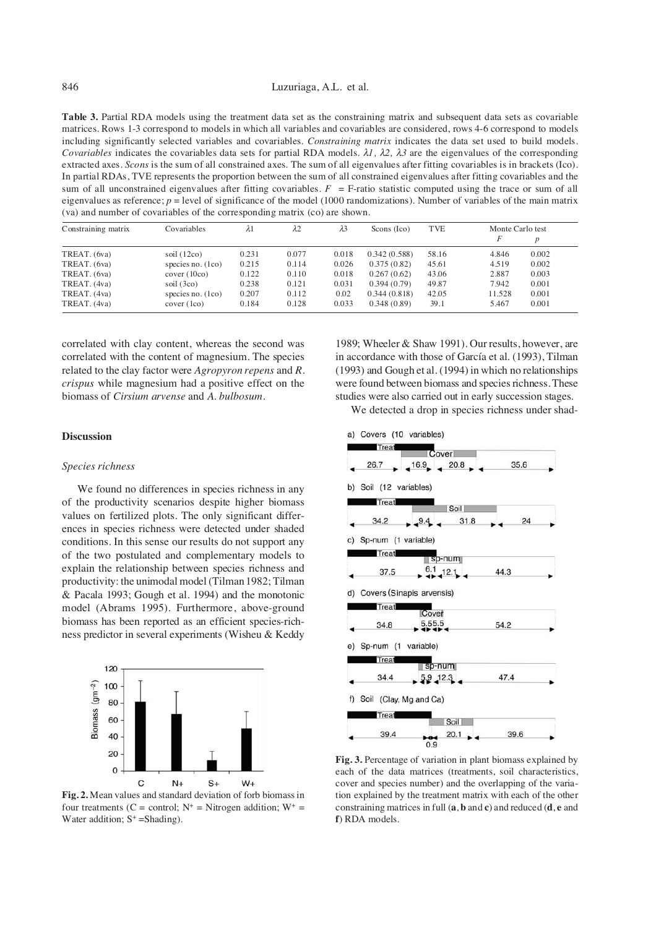**Table 3.** Partial RDA models using the treatment data set as the constraining matrix and subsequent data sets as covariable matrices. Rows 1-3 correspond to models in which all variables and covariables are considered, rows 4-6 correspond to models including significantly selected variables and covariables. *Constraining matrix* indicates the data set used to build models. *Covariables* indicates the covariables data sets for partial RDA models.  $\lambda l$ ,  $\lambda 2$ ,  $\lambda 3$  are the eigenvalues of the corresponding extracted axes. *Scons* is the sum of all constrained axes. The sum of all eigenvalues after fitting covariables is in brackets (Ico). In partial RDAs, TVE represents the proportion between the sum of all constrained eigenvalues after fitting covariables and the sum of all unconstrained eigenvalues after fitting covariables.  $F = F$ -ratio statistic computed using the trace or sum of all eigenvalues as reference;  $p =$  level of significance of the model (1000 randomizations). Number of variables of the main matrix (va) and number of covariables of the corresponding matrix (co) are shown.

| Constraining matrix | Covariables         | $\lambda$ l | λ2    | $\lambda$ 3 | Scons (Ico)  | <b>TVE</b> | Monte Carlo test |       |
|---------------------|---------------------|-------------|-------|-------------|--------------|------------|------------------|-------|
|                     |                     |             |       |             |              |            | F                | D     |
| TREAT. (6va)        | soil $(12co)$       | 0.231       | 0.077 | 0.018       | 0.342(0.588) | 58.16      | 4.846            | 0.002 |
| TREAT. (6va)        | species no. $(1co)$ | 0.215       | 0.114 | 0.026       | 0.375(0.82)  | 45.61      | 4.519            | 0.002 |
| TREAT. (6va)        | cover (10co)        | 0.122       | 0.110 | 0.018       | 0.267(0.62)  | 43.06      | 2.887            | 0.003 |
| TREAT. (4va)        | soil $(3co)$        | 0.238       | 0.121 | 0.031       | 0.394(0.79)  | 49.87      | 7.942            | 0.001 |
| TREAT. (4va)        | species no. $(1co)$ | 0.207       | 0.112 | 0.02        | 0.344(0.818) | 42.05      | 11.528           | 0.001 |
| TREAT. (4va)        | cover (1co)         | 0.184       | 0.128 | 0.033       | 0.348(0.89)  | 39.1       | 5.467            | 0.001 |

correlated with clay content, whereas the second was correlated with the content of magnesium. The species related to the clay factor were *Agropyron repens* and *R. crispus* while magnesium had a positive effect on the biomass of *Cirsium arvense* and *A. bulbosum*.

# 1989; Wheeler & Shaw 1991). Our results, however, are in accordance with those of García et al. (1993), Tilman (1993) and Gough et al. (1994) in which no relationships were found between biomass and species richness. These studies were also carried out in early succession stages.

We detected a drop in species richness under shad-

# **Discussion**

# *Species richness*

We found no differences in species richness in any of the productivity scenarios despite higher biomass values on fertilized plots. The only significant differences in species richness were detected under shaded conditions. In this sense our results do not support any of the two postulated and complementary models to explain the relationship between species richness and productivity: the unimodal model (Tilman 1982; Tilman & Pacala 1993; Gough et al. 1994) and the monotonic model (Abrams 1995). Furthermore, above-ground biomass has been reported as an efficient species-richness predictor in several experiments (Wisheu & Keddy



**Fig. 2.** Mean values and standard deviation of forb biomass in four treatments (C = control;  $N^+$  = Nitrogen addition;  $W^+$  = Water addition;  $S^+$  =Shading).



**Fig. 3.** Percentage of variation in plant biomass explained by each of the data matrices (treatments, soil characteristics, cover and species number) and the overlapping of the variation explained by the treatment matrix with each of the other constraining matrices in full (**a**, **b** and **c**) and reduced (**d**, **e** and **f**) RDA models.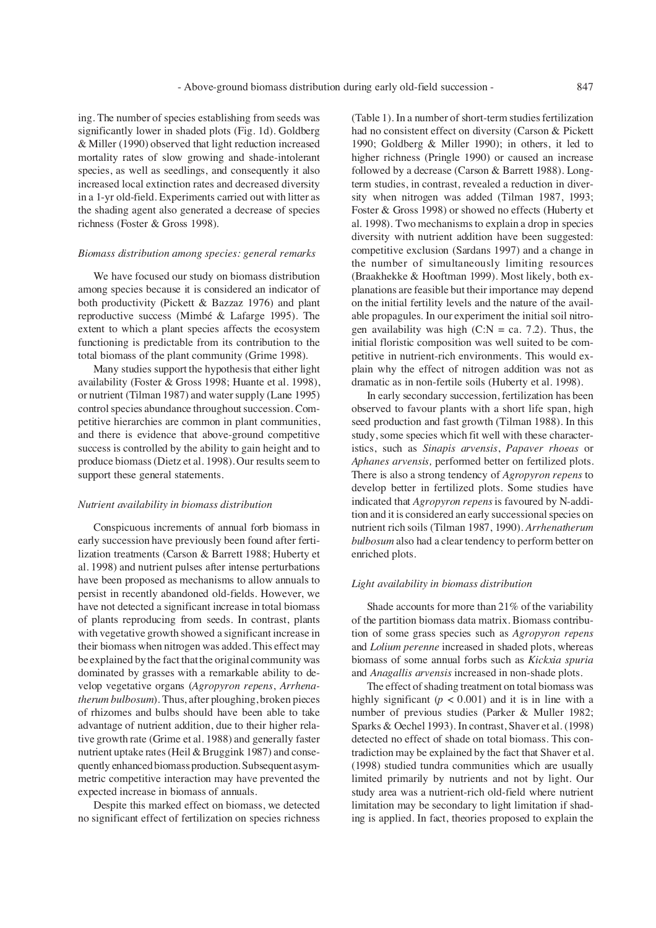ing. The number of species establishing from seeds was significantly lower in shaded plots (Fig. 1d). Goldberg & Miller (1990) observed that light reduction increased mortality rates of slow growing and shade-intolerant species, as well as seedlings, and consequently it also increased local extinction rates and decreased diversity in a 1-yr old-field. Experiments carried out with litter as the shading agent also generated a decrease of species richness (Foster & Gross 1998).

# *Biomass distribution among species: general remarks*

We have focused our study on biomass distribution among species because it is considered an indicator of both productivity (Pickett & Bazzaz 1976) and plant reproductive success (Mimbé & Lafarge 1995). The extent to which a plant species affects the ecosystem functioning is predictable from its contribution to the total biomass of the plant community (Grime 1998).

Many studies support the hypothesis that either light availability (Foster & Gross 1998; Huante et al. 1998), or nutrient (Tilman 1987) and water supply (Lane 1995) control species abundance throughout succession. Competitive hierarchies are common in plant communities, and there is evidence that above-ground competitive success is controlled by the ability to gain height and to produce biomass (Dietz et al. 1998). Our results seem to support these general statements.

### *Nutrient availability in biomass distribution*

Conspicuous increments of annual forb biomass in early succession have previously been found after fertilization treatments (Carson & Barrett 1988; Huberty et al. 1998) and nutrient pulses after intense perturbations have been proposed as mechanisms to allow annuals to persist in recently abandoned old-fields. However, we have not detected a significant increase in total biomass of plants reproducing from seeds. In contrast, plants with vegetative growth showed a significant increase in their biomass when nitrogen was added. This effect may be explained by the fact that the original community was dominated by grasses with a remarkable ability to develop vegetative organs (*Agropyron repens*, *Arrhenatherum bulbosum*). Thus, after ploughing, broken pieces of rhizomes and bulbs should have been able to take advantage of nutrient addition, due to their higher relative growth rate (Grime et al. 1988) and generally faster nutrient uptake rates (Heil & Bruggink 1987) and consequently enhanced biomass production. Subsequent asymmetric competitive interaction may have prevented the expected increase in biomass of annuals.

Despite this marked effect on biomass, we detected no significant effect of fertilization on species richness

(Table 1). In a number of short-term studies fertilization had no consistent effect on diversity (Carson & Pickett 1990; Goldberg & Miller 1990); in others, it led to higher richness (Pringle 1990) or caused an increase followed by a decrease (Carson & Barrett 1988). Longterm studies, in contrast, revealed a reduction in diversity when nitrogen was added (Tilman 1987, 1993; Foster & Gross 1998) or showed no effects (Huberty et al. 1998). Two mechanisms to explain a drop in species diversity with nutrient addition have been suggested: competitive exclusion (Sardans 1997) and a change in the number of simultaneously limiting resources (Braakhekke & Hooftman 1999). Most likely, both explanations are feasible but their importance may depend on the initial fertility levels and the nature of the available propagules. In our experiment the initial soil nitrogen availability was high  $(C:N = ca. 7.2)$ . Thus, the initial floristic composition was well suited to be competitive in nutrient-rich environments. This would explain why the effect of nitrogen addition was not as dramatic as in non-fertile soils (Huberty et al. 1998).

In early secondary succession, fertilization has been observed to favour plants with a short life span, high seed production and fast growth (Tilman 1988). In this study, some species which fit well with these characteristics, such as *Sinapis arvensis*, *Papaver rhoeas* or *Aphanes arvensis,* performed better on fertilized plots. There is also a strong tendency of *Agropyron repens* to develop better in fertilized plots. Some studies have indicated that *Agropyron repens* is favoured by N-addition and it is considered an early successional species on nutrient rich soils (Tilman 1987, 1990). *Arrhenatherum bulbosum* also had a clear tendency to perform better on enriched plots.

# *Light availability in biomass distribution*

Shade accounts for more than 21% of the variability of the partition biomass data matrix. Biomass contribution of some grass species such as *Agropyron repens* and *Lolium perenne* increased in shaded plots, whereas biomass of some annual forbs such as *Kickxia spuria* and *Anagallis arvensis* increased in non-shade plots.

The effect of shading treatment on total biomass was highly significant ( $p < 0.001$ ) and it is in line with a number of previous studies (Parker & Muller 1982; Sparks & Oechel 1993). In contrast, Shaver et al. (1998) detected no effect of shade on total biomass. This contradiction may be explained by the fact that Shaver et al. (1998) studied tundra communities which are usually limited primarily by nutrients and not by light. Our study area was a nutrient-rich old-field where nutrient limitation may be secondary to light limitation if shading is applied. In fact, theories proposed to explain the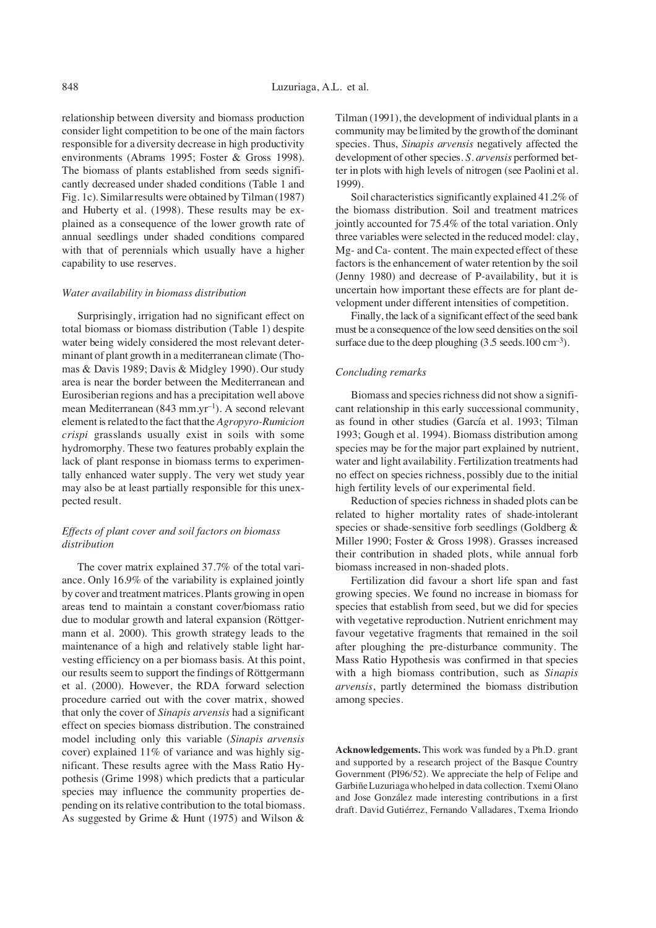relationship between diversity and biomass production consider light competition to be one of the main factors responsible for a diversity decrease in high productivity environments (Abrams 1995; Foster & Gross 1998). The biomass of plants established from seeds significantly decreased under shaded conditions (Table 1 and Fig. 1c). Similar results were obtained by Tilman (1987) and Huberty et al. (1998). These results may be explained as a consequence of the lower growth rate of annual seedlings under shaded conditions compared with that of perennials which usually have a higher capability to use reserves.

#### *Water availability in biomass distribution*

Surprisingly, irrigation had no significant effect on total biomass or biomass distribution (Table 1) despite water being widely considered the most relevant determinant of plant growth in a mediterranean climate (Thomas & Davis 1989; Davis & Midgley 1990). Our study area is near the border between the Mediterranean and Eurosiberian regions and has a precipitation well above mean Mediterranean (843 mm.yr<sup>-1</sup>). A second relevant element is related to the fact that the *Agropyro-Rumicion crispi* grasslands usually exist in soils with some hydromorphy. These two features probably explain the lack of plant response in biomass terms to experimentally enhanced water supply. The very wet study year may also be at least partially responsible for this unexpected result.

# *Effects of plant cover and soil factors on biomass distribution*

The cover matrix explained 37.7% of the total variance. Only 16.9% of the variability is explained jointly by cover and treatment matrices. Plants growing in open areas tend to maintain a constant cover/biomass ratio due to modular growth and lateral expansion (Röttgermann et al. 2000). This growth strategy leads to the maintenance of a high and relatively stable light harvesting efficiency on a per biomass basis. At this point, our results seem to support the findings of Röttgermann et al. (2000). However, the RDA forward selection procedure carried out with the cover matrix, showed that only the cover of *Sinapis arvensis* had a significant effect on species biomass distribution. The constrained model including only this variable (*Sinapis arvensis* cover) explained 11% of variance and was highly significant. These results agree with the Mass Ratio Hypothesis (Grime 1998) which predicts that a particular species may influence the community properties depending on its relative contribution to the total biomass. As suggested by Grime & Hunt (1975) and Wilson &

Tilman (1991), the development of individual plants in a community may be limited by the growth of the dominant species. Thus, *Sinapis arvensis* negatively affected the development of other species. *S. arvensis* performed better in plots with high levels of nitrogen (see Paolini et al. 1999).

Soil characteristics significantly explained 41.2% of the biomass distribution. Soil and treatment matrices jointly accounted for 75.4% of the total variation. Only three variables were selected in the reduced model: clay, Mg- and Ca- content. The main expected effect of these factors is the enhancement of water retention by the soil (Jenny 1980) and decrease of P-availability, but it is uncertain how important these effects are for plant development under different intensities of competition.

Finally, the lack of a significant effect of the seed bank must be a consequence of the low seed densities on the soil surface due to the deep ploughing  $(3.5 \text{ seeds.}100 \text{ cm}^{-3})$ .

### *Concluding remarks*

Biomass and species richness did not show a significant relationship in this early successional community, as found in other studies (García et al. 1993; Tilman 1993; Gough et al. 1994). Biomass distribution among species may be for the major part explained by nutrient, water and light availability. Fertilization treatments had no effect on species richness, possibly due to the initial high fertility levels of our experimental field.

Reduction of species richness in shaded plots can be related to higher mortality rates of shade-intolerant species or shade-sensitive forb seedlings (Goldberg & Miller 1990; Foster & Gross 1998). Grasses increased their contribution in shaded plots, while annual forb biomass increased in non-shaded plots.

Fertilization did favour a short life span and fast growing species*.* We found no increase in biomass for species that establish from seed, but we did for species with vegetative reproduction. Nutrient enrichment may favour vegetative fragments that remained in the soil after ploughing the pre-disturbance community. The Mass Ratio Hypothesis was confirmed in that species with a high biomass contribution, such as *Sinapis arvensis*, partly determined the biomass distribution among species.

**Acknowledgements.** This work was funded by a Ph.D. grant and supported by a research project of the Basque Country Government (PI96/52). We appreciate the help of Felipe and Garbiñe Luzuriaga who helped in data collection. Txemi Olano and Jose González made interesting contributions in a first draft. David Gutiérrez, Fernando Valladares, Txema Iriondo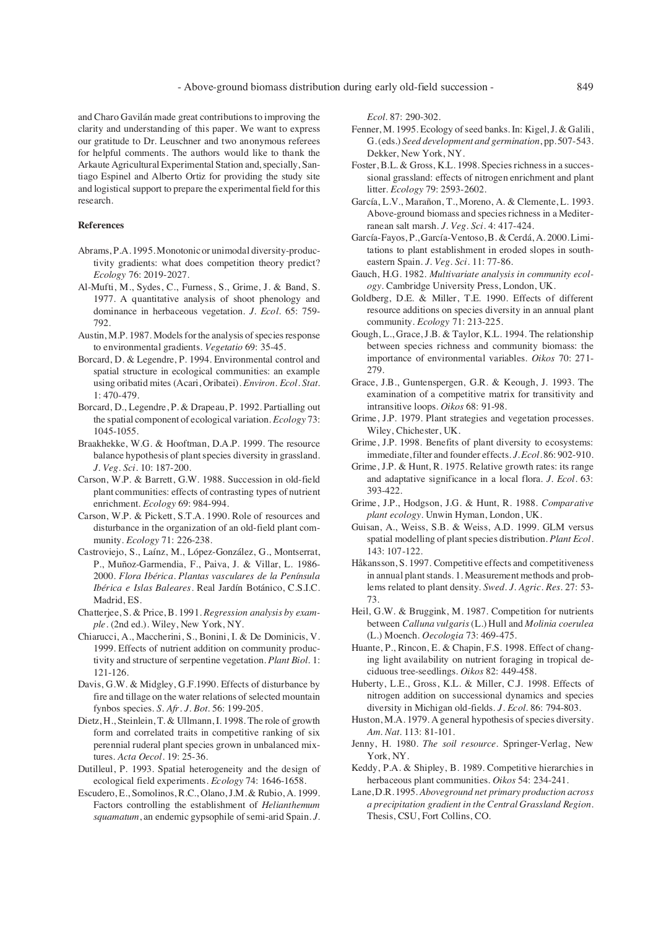and Charo Gavilán made great contributions to improving the clarity and understanding of this paper. We want to express our gratitude to Dr. Leuschner and two anonymous referees for helpful comments. The authors would like to thank the Arkaute Agricultural Experimental Station and, specially, Santiago Espinel and Alberto Ortiz for providing the study site and logistical support to prepare the experimental field for this research.

# **References**

- Abrams, P.A. 1995. Monotonic or unimodal diversity-productivity gradients: what does competition theory predict? *Ecology* 76: 2019-2027.
- Al-Mufti, M., Sydes, C., Furness, S., Grime, J. & Band, S. 1977. A quantitative analysis of shoot phenology and dominance in herbaceous vegetation. *J. Ecol.* 65: 759- 792.
- Austin, M.P. 1987. Models for the analysis of species response to environmental gradients. *Vegetatio* 69: 35-45.
- Borcard, D. & Legendre, P. 1994. Environmental control and spatial structure in ecological communities: an example using oribatid mites (Acari, Oribatei). *Environ. Ecol. Stat.* 1: 470-479.
- Borcard, D., Legendre, P. & Drapeau, P. 1992. Partialling out the spatial component of ecological variation. *Ecology* 73: 1045-1055.
- Braakhekke, W.G. & Hooftman, D.A.P. 1999. The resource balance hypothesis of plant species diversity in grassland. *J. Veg. Sci.* 10: 187-200.
- Carson, W.P. & Barrett, G.W. 1988. Succession in old-field plant communities: effects of contrasting types of nutrient enrichment. *Ecology* 69: 984-994.
- Carson, W.P. & Pickett, S.T.A. 1990. Role of resources and disturbance in the organization of an old-field plant community. *Ecology* 71: 226-238.
- Castroviejo, S., Laínz, M., López-González, G., Montserrat, P., Muñoz-Garmendia, F., Paiva, J. & Villar, L. 1986- 2000. *Flora Ibérica*. *Plantas vasculares de la Península Ibérica e Islas Baleares*. Real Jardín Botánico, C.S.I.C. Madrid, ES.
- Chatterjee, S. & Price, B. 1991. *Regression analysis by example*. (2nd ed.). Wiley, New York, NY.
- Chiarucci, A., Maccherini, S., Bonini, I. & De Dominicis, V. 1999. Effects of nutrient addition on community productivity and structure of serpentine vegetation. *Plant Biol.* 1: 121-126.
- Davis, G.W. & Midgley, G.F.1990. Effects of disturbance by fire and tillage on the water relations of selected mountain fynbos species. *S. Afr. J. Bot.* 56: 199-205.
- Dietz, H., Steinlein, T. & Ullmann, I. 1998. The role of growth form and correlated traits in competitive ranking of six perennial ruderal plant species grown in unbalanced mixtures. *Acta Oecol.* 19: 25-36.
- Dutilleul, P. 1993. Spatial heterogeneity and the design of ecological field experiments. *Ecology* 74: 1646-1658.
- Escudero, E., Somolinos, R.C., Olano, J.M. & Rubio, A. 1999. Factors controlling the establishment of *Helianthemum squamatum*, an endemic gypsophile of semi-arid Spain. *J.*

*Ecol.* 87: 290-302.

- Fenner, M. 1995. Ecology of seed banks. In: Kigel, J. & Galili, G. (eds.) *Seed development and germination*, pp. 507-543. Dekker, New York, NY.
- Foster, B.L. & Gross, K.L. 1998. Species richness in a successional grassland: effects of nitrogen enrichment and plant litter. *Ecology* 79: 2593-2602.
- García, L.V., Marañon, T., Moreno, A. & Clemente, L. 1993. Above-ground biomass and species richness in a Mediterranean salt marsh. *J. Veg. Sci.* 4: 417-424.
- García-Fayos, P., García-Ventoso, B. & Cerdá, A. 2000. Limitations to plant establishment in eroded slopes in southeastern Spain. *J. Veg. Sci.* 11: 77-86.
- Gauch, H.G. 1982. *Multivariate analysis in community ecology*. Cambridge University Press, London, UK.
- Goldberg, D.E. & Miller, T.E. 1990. Effects of different resource additions on species diversity in an annual plant community. *Ecology* 71: 213-225.
- Gough, L., Grace, J.B. & Taylor, K.L. 1994. The relationship between species richness and community biomass: the importance of environmental variables. *Oikos* 70: 271- 279.
- Grace, J.B., Guntenspergen, G.R. & Keough, J. 1993. The examination of a competitive matrix for transitivity and intransitive loops. *Oikos* 68: 91-98.
- Grime, J.P. 1979. Plant strategies and vegetation processes. Wiley, Chichester, UK.
- Grime, J.P. 1998. Benefits of plant diversity to ecosystems: immediate, filter and founder effects. *J. Ecol.* 86: 902-910.
- Grime, J.P. & Hunt, R. 1975. Relative growth rates: its range and adaptative significance in a local flora. *J. Ecol.* 63: 393-422.
- Grime, J.P., Hodgson, J.G. & Hunt, R. 1988. *Comparative plant ecology*. Unwin Hyman, London, UK.
- Guisan, A., Weiss, S.B. & Weiss, A.D. 1999. GLM versus spatial modelling of plant species distribution. *Plant Ecol.* 143: 107-122.
- Håkansson, S. 1997. Competitive effects and competitiveness in annual plant stands. 1. Measurement methods and problems related to plant density*. Swed. J. Agric. Res.* 27: 53- 73.
- Heil, G.W. & Bruggink, M. 1987. Competition for nutrients between *Calluna vulgaris* (L.) Hull and *Molinia coerulea* (L.) Moench. *Oecologia* 73: 469-475.
- Huante, P., Rincon, E. & Chapin, F.S. 1998. Effect of changing light availability on nutrient foraging in tropical deciduous tree-seedlings. *Oikos* 82: 449-458.
- Huberty, L.E., Gross, K.L. & Miller, C.J. 1998. Effects of nitrogen addition on successional dynamics and species diversity in Michigan old-fields. *J. Ecol.* 86: 794-803.
- Huston, M.A. 1979. A general hypothesis of species diversity. *Am. Nat.* 113: 81-101.
- Jenny, H. 1980. *The soil resource*. Springer-Verlag, New York, NY.
- Keddy, P.A. & Shipley, B. 1989. Competitive hierarchies in herbaceous plant communities. *Oikos* 54: 234-241.
- Lane, D.R. 1995. *Aboveground net primary production across a precipitation gradient in the Central Grassland Region*. Thesis, CSU, Fort Collins, CO.